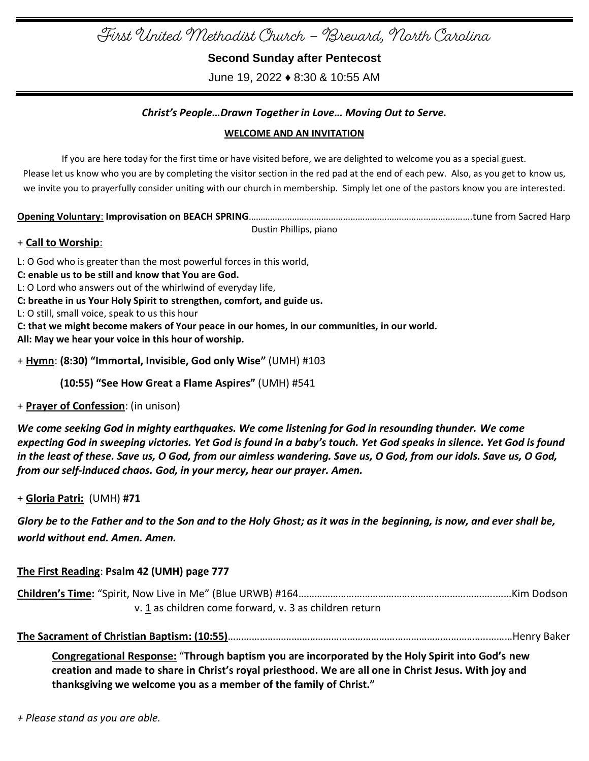First United Methodist Church – Brevard, North Carolina

**Second Sunday after Pentecost**

June 19, 2022 ♦ 8:30 & 10:55 AM

# *Christ's People…Drawn Together in Love… Moving Out to Serve.*

## **WELCOME AND AN INVITATION**

If you are here today for the first time or have visited before, we are delighted to welcome you as a special guest. Please let us know who you are by completing the visitor section in the red pad at the end of each pew. Also, as you get to know us, we invite you to prayerfully consider uniting with our church in membership. Simply let one of the pastors know you are interested.

**Opening Voluntary**: **Improvisation on BEACH SPRING**………………………………………………………………………….…….tune from Sacred Harp

Dustin Phillips, piano

# + **Call to Worship**:

L: O God who is greater than the most powerful forces in this world, **C: enable us to be still and know that You are God.** L: O Lord who answers out of the whirlwind of everyday life,

**C: breathe in us Your Holy Spirit to strengthen, comfort, and guide us.**

L: O still, small voice, speak to us this hour

**C: that we might become makers of Your peace in our homes, in our communities, in our world. All: May we hear your voice in this hour of worship.**

+ **Hymn**: **(8:30) "Immortal, Invisible, God only Wise"** (UMH) #103

 **(10:55) "See How Great a Flame Aspires"** (UMH) #541

+ **Prayer of Confession**: (in unison)

*We come seeking God in mighty earthquakes. We come listening for God in resounding thunder. We come expecting God in sweeping victories. Yet God is found in a baby's touch. Yet God speaks in silence. Yet God is found in the least of these. Save us, O God, from our aimless wandering. Save us, O God, from our idols. Save us, O God, from our self-induced chaos. God, in your mercy, hear our prayer. Amen.*

+ **Gloria Patri:** (UMH) **#71**

*Glory be to the Father and to the Son and to the Holy Ghost; as it was in the beginning, is now, and ever shall be, world without end. Amen. Amen.*

| The First Reading: Psalm 42 (UMH) page 777             |  |
|--------------------------------------------------------|--|
|                                                        |  |
| v. 1 as children come forward, v. 3 as children return |  |

**The Sacrament of Christian Baptism: (10:55)**……………………………………………………………………………………..………Henry Baker

**Congregational Response:** "**Through baptism you are incorporated by the Holy Spirit into God's new creation and made to share in Christ's royal priesthood. We are all one in Christ Jesus. With joy and thanksgiving we welcome you as a member of the family of Christ."**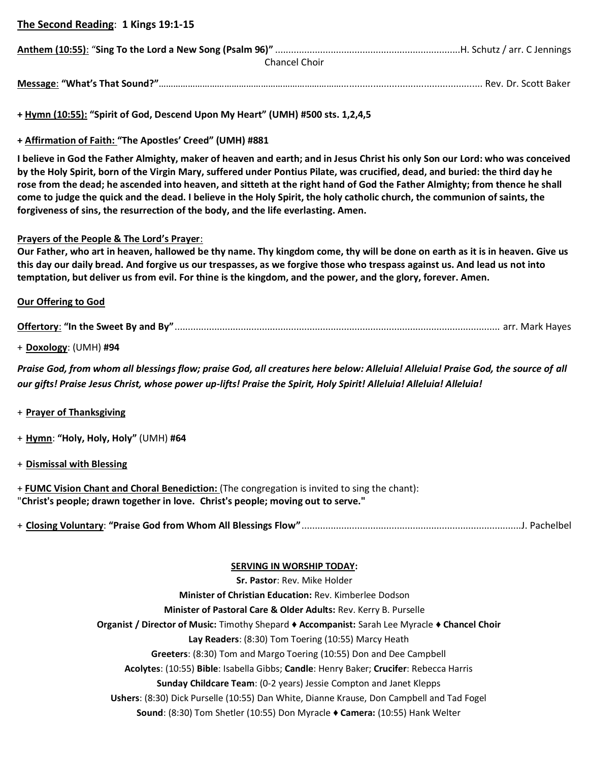**The Second Reading**: **1 Kings 19:1-15**

| Chancel Choir |  |
|---------------|--|

**Message**: **"What's That Sound?"**…………………………………………………………………..................................................... Rev. Dr. Scott Baker

**+ Hymn (10:55): "Spirit of God, Descend Upon My Heart" (UMH) #500 sts. 1,2,4,5**

**+ Affirmation of Faith: "The Apostles' Creed" (UMH) #881**

**I believe in God the Father Almighty, maker of heaven and earth; and in Jesus Christ his only Son our Lord: who was conceived by the Holy Spirit, born of the Virgin Mary, suffered under Pontius Pilate, was crucified, dead, and buried: the third day he rose from the dead; he ascended into heaven, and sitteth at the right hand of God the Father Almighty; from thence he shall come to judge the quick and the dead. I believe in the Holy Spirit, the holy catholic church, the communion of saints, the forgiveness of sins, the resurrection of the body, and the life everlasting. Amen.**

### **Prayers of the People & The Lord's Prayer**:

**Our Father, who art in heaven, hallowed be thy name. Thy kingdom come, thy will be done on earth as it is in heaven. Give us this day our daily bread. And forgive us our trespasses, as we forgive those who trespass against us. And lead us not into temptation, but deliver us from evil. For thine is the kingdom, and the power, and the glory, forever. Amen.**

#### **Our Offering to God**

**Offertory**: **"In the Sweet By and By"**........................................................................................................................... arr. Mark Hayes

+ **Doxology**: (UMH) **#94** 

*Praise God, from whom all blessings flow; praise God, all creatures here below: Alleluia! Alleluia! Praise God, the source of all our gifts! Praise Jesus Christ, whose power up-lifts! Praise the Spirit, Holy Spirit! Alleluia! Alleluia! Alleluia!* 

### + **Prayer of Thanksgiving**

+ **Hymn**: **"Holy, Holy, Holy"** (UMH) **#64**

+ **Dismissal with Blessing**

+ **FUMC Vision Chant and Choral Benediction:** (The congregation is invited to sing the chant): "**Christ's people; drawn together in love. Christ's people; moving out to serve."**

+ **Closing Voluntary**: **"Praise God from Whom All Blessings Flow"**...................................................................................J. Pachelbel

#### **SERVING IN WORSHIP TODAY:**

**Sr. Pastor**: Rev. Mike Holder **Minister of Christian Education:** Rev. Kimberlee Dodson **Minister of Pastoral Care & Older Adults:** Rev. Kerry B. Purselle **Organist / Director of Music:** Timothy Shepard ♦ **Accompanist:** Sarah Lee Myracle ♦ **Chancel Choir Lay Readers**: (8:30) Tom Toering (10:55) Marcy Heath **Greeters**: (8:30) Tom and Margo Toering (10:55) Don and Dee Campbell **Acolytes**: (10:55) **Bible**: Isabella Gibbs; **Candle**: Henry Baker; **Crucifer**: Rebecca Harris **Sunday Childcare Team**: (0-2 years) Jessie Compton and Janet Klepps **Ushers**: (8:30) Dick Purselle (10:55) Dan White, Dianne Krause, Don Campbell and Tad Fogel **Sound**: (8:30) Tom Shetler (10:55) Don Myracle ♦ **Camera:** (10:55) Hank Welter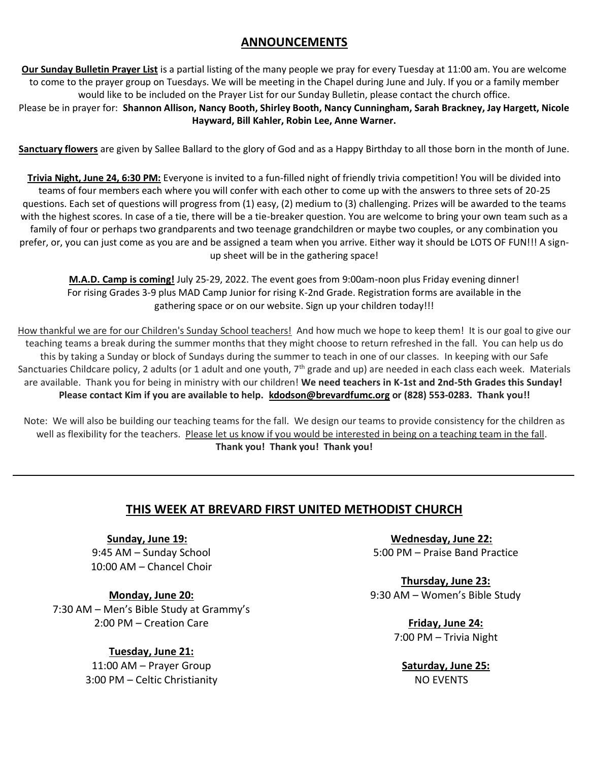# **ANNOUNCEMENTS**

**Our Sunday Bulletin Prayer List** is a partial listing of the many people we pray for every Tuesday at 11:00 am. You are welcome to come to the prayer group on Tuesdays. We will be meeting in the Chapel during June and July. If you or a family member would like to be included on the Prayer List for our Sunday Bulletin, please contact the church office.

Please be in prayer for: **Shannon Allison, Nancy Booth, Shirley Booth, Nancy Cunningham, Sarah Brackney, Jay Hargett, Nicole Hayward, Bill Kahler, Robin Lee, Anne Warner.**

**Sanctuary flowers** are given by Sallee Ballard to the glory of God and as a Happy Birthday to all those born in the month of June.

**Trivia Night, June 24, 6:30 PM:** Everyone is invited to a fun-filled night of friendly trivia competition! You will be divided into teams of four members each where you will confer with each other to come up with the answers to three sets of 20-25 questions. Each set of questions will progress from (1) easy, (2) medium to (3) challenging. Prizes will be awarded to the teams with the highest scores. In case of a tie, there will be a tie-breaker question. You are welcome to bring your own team such as a family of four or perhaps two grandparents and two teenage grandchildren or maybe two couples, or any combination you prefer, or, you can just come as you are and be assigned a team when you arrive. Either way it should be LOTS OF FUN!!! A signup sheet will be in the gathering space!

**M.A.D. Camp is coming!** July 25-29, 2022. The event goes from 9:00am-noon plus Friday evening dinner! For rising Grades 3-9 plus MAD Camp Junior for rising K-2nd Grade. Registration forms are available in the gathering space or on our website. Sign up your children today!!!

How thankful we are for our Children's Sunday School teachers! And how much we hope to keep them! It is our goal to give our teaching teams a break during the summer months that they might choose to return refreshed in the fall. You can help us do this by taking a Sunday or block of Sundays during the summer to teach in one of our classes. In keeping with our Safe Sanctuaries Childcare policy, 2 adults (or 1 adult and one youth, 7<sup>th</sup> grade and up) are needed in each class each week. Materials are available. Thank you for being in ministry with our children! **We need teachers in K-1st and 2nd-5th Grades this Sunday! Please contact Kim if you are available to help. [kdodson@brevardfumc.org](mailto:kdodson@brevardfumc.org) or (828) 553-0283. Thank you!!**

Note: We will also be building our teaching teams for the fall. We design our teams to provide consistency for the children as well as flexibility for the teachers. Please let us know if you would be interested in being on a teaching team in the fall. **Thank you! Thank you! Thank you!**

# **THIS WEEK AT BREVARD FIRST UNITED METHODIST CHURCH**

**Sunday, June 19:** 9:45 AM – Sunday School 10:00 AM – Chancel Choir

**Monday, June 20:** 7:30 AM – Men's Bible Study at Grammy's 2:00 PM – Creation Care

> **Tuesday, June 21:** 11:00 AM – Prayer Group 3:00 PM – Celtic Christianity

**Wednesday, June 22:** 5:00 PM – Praise Band Practice

**Thursday, June 23:** 9:30 AM – Women's Bible Study

> **Friday, June 24:** 7:00 PM – Trivia Night

**Saturday, June 25:** NO EVENTS